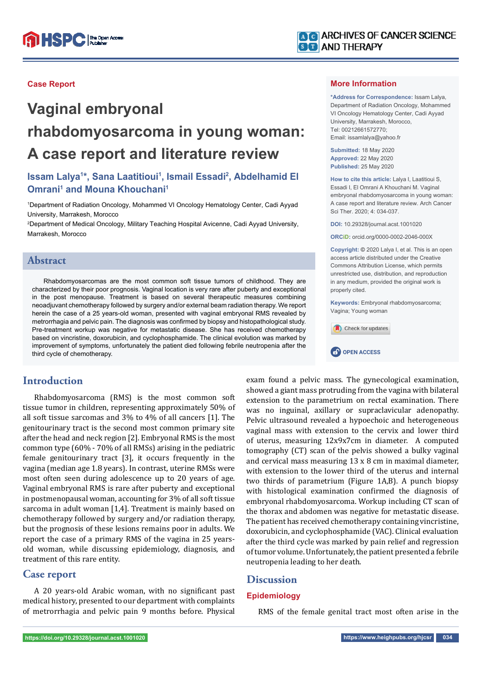

# **Vaginal embryonal rhabdomyosarcoma in young woman: A case report and literature review**

# Issam Lalya<sup>1\*</sup>, Sana Laatitioui<sup>1</sup>, Ismail Essadi<sup>2</sup>, Abdelhamid El **Omrani<sup>1</sup> and Mouna Khouchani<sup>1</sup>**

1 Department of Radiation Oncology, Mohammed VI Oncology Hematology Center, Cadi Ayyad University, Marrakesh, Morocco

2 Department of Medical Oncology, Military Teaching Hospital Avicenne, Cadi Ayyad University, Marrakesh, Morocco

## **Abstract**

Rhabdomyosarcomas are the most common soft tissue tumors of childhood. They are characterized by their poor prognosis. Vaginal location is very rare after puberty and exceptional in the post menopause. Treatment is based on several therapeutic measures combining neoadjuvant chemotherapy followed by surgery and/or external beam radiation therapy. We report herein the case of a 25 years-old woman, presented with vaginal embryonal RMS revealed by metrorrhagia and pelvic pain. The diagnosis was confirmed by biopsy and histopathological study. Pre-treatment workup was negative for metastatic disease. She has received chemotherapy based on vincristine, doxorubicin, and cyclophosphamide. The clinical evolution was marked by improvement of symptoms, unfortunately the patient died following febrile neutropenia after the third cycle of chemotherapy.

# **Introduction**

Rhabdomyosarcoma (RMS) is the most common soft tissue tumor in children, representing approximately 50% of all soft tissue sarcomas and 3% to 4% of all cancers [1]. The genitourinary tract is the second most common primary site after the head and neck region [2]. Embryonal RMS is the most common type (60% - 70% of all RMSs) arising in the pediatric female genitourinary tract [3], it occurs frequently in the vagina (median age 1.8 years). In contrast, uterine RMSs were most often seen during adolescence up to 20 years of age. Vaginal embryonal RMS is rare after puberty and exceptional in postmenopausal woman, accounting for 3% of all soft tissue sarcoma in adult woman [1,4]. Treatment is mainly based on chemotherapy followed by surgery and/or radiation therapy, but the prognosis of these lesions remains poor in adults. We report the case of a primary RMS of the vagina in 25 yearsold woman, while discussing epidemiology, diagnosis, and treatment of this rare entity.

### **Case report**

A 20 years-old Arabic woman, with no significant past medical history, presented to our department with complaints of metrorrhagia and pelvic pain 9 months before. Physical



#### **More Information**

**\*Address for Correspondence:** Issam Lalya, Department of Radiation Oncology, Mohammed VI Oncology Hematology Center, Cadi Ayyad University, Marrakesh, Morocco, Tel: 00212661572770; Email: issamlalya@yahoo.fr

**Submitted:** 18 May 2020 **Approved:** 22 May 2020 **Published:** 25 May 2020

**How to cite this article:** Lalya I, Laatitioui S, Essadi I, El Omrani A Khouchani M. Vaginal embryonal rhabdomyosarcoma in young woman: A case report and literature review. Arch Cancer Sci Ther. 2020; 4: 034-037.

**DOI:** 10.29328/journal.acst.1001020

**ORCiD:** orcid.org/0000-0002-2046-000X

**Copyright: ©** 2020 Lalya I, et al. This is an open access article distributed under the Creative Commons Attribution License, which permits unrestricted use, distribution, and reproduction in any medium, provided the original work is properly cited.

**Keywords:** Embryonal rhabdomyosarcoma; Vagina; Young woman





exam found a pelvic mass. The gynecological examination, showed a giant mass protruding from the vagina with bilateral extension to the parametrium on rectal examination. There was no inguinal, axillary or supraclavicular adenopathy. Pelvic ultrasound revealed a hypoechoic and heterogeneous vaginal mass with extension to the cervix and lower third of uterus, measuring 12x9x7cm in diameter. A computed tomography (CT) scan of the pelvis showed a bulky vaginal and cervical mass measuring 13 x 8 cm in maximal diameter, with extension to the lower third of the uterus and internal two thirds of parametrium (Figure 1A,B). A punch biopsy with histological examination confirmed the diagnosis of embryonal rhabdomyosarcoma. Workup including CT scan of the thorax and abdomen was negative for metastatic disease. The patient has received chemotherapy containing vincristine, doxorubicin, and cyclophosphamide (VAC). Clinical evaluation after the third cycle was marked by pain relief and regression of tumor volume. Unfortunately, the patient presented a febrile neutropenia leading to her death.

# **Discussion**

#### **Epidemiology**

RMS of the female genital tract most often arise in the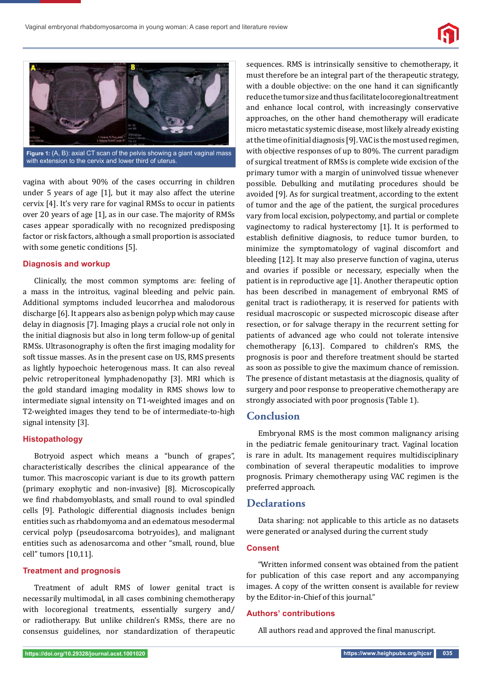



**Figure 1:** (A, B): axial CT scan of the pelvis showing a giant vaginal mass with extension to the cervix and lower third of uterus.

vagina with about 90% of the cases occurring in children under 5 years of age [1], but it may also affect the uterine cervix [4]. It's very rare for vaginal RMSs to occur in patients over 20 years of age [1], as in our case. The majority of RMSs cases appear sporadically with no recognized predisposing factor or risk factors, although a small proportion is associated with some genetic conditions [5].

#### **Diagnosis and workup**

Clinically, the most common symptoms are: feeling of a mass in the introitus, vaginal bleeding and pelvic pain. Additional symptoms included leucorrhea and malodorous discharge [6]. It appears also as benign polyp which may cause delay in diagnosis [7]. Imaging plays a crucial role not only in the initial diagnosis but also in long term follow-up of genital RMSs. Ultrasonography is often the first imaging modality for soft tissue masses. As in the present case on US, RMS presents as lightly hypoechoic heterogenous mass. It can also reveal pelvic retroperitoneal lymphadenopathy [3]. MRI which is the gold standard imaging modality in RMS shows low to intermediate signal intensity on T1-weighted images and on T2-weighted images they tend to be of intermediate-to-high signal intensity [3].

#### **Histopathology**

Botryoid aspect which means a "bunch of grapes", characteristically describes the clinical appearance of the tumor. This macroscopic variant is due to its growth pattern (primary exophytic and non-invasive) [8]. Microscopically we find rhabdomyoblasts, and small round to oval spindled cells [9]. Pathologic differential diagnosis includes benign entities such as rhabdomyoma and an edematous mesodermal cervical polyp (pseudosarcoma botryoides), and malignant entities such as adenosarcoma and other "small, round, blue cell" tumors [10,11].

#### **Treatment and prognosis**

Treatment of adult RMS of lower genital tract is necessarily multimodal, in all cases combining chemotherapy with locoregional treatments, essentially surgery and/ or radiotherapy. But unlike children's RMSs, there are no consensus guidelines, nor standardization of therapeutic sequences. RMS is intrinsically sensitive to chemotherapy, it must therefore be an integral part of the therapeutic strategy, with a double objective: on the one hand it can significantly reduce the tumor size and thus facilitate locoregional treatment and enhance local control, with increasingly conservative approaches, on the other hand chemotherapy will eradicate micro metastatic systemic disease, most likely already existing at the time of initial diagnosis [9]. VAC is the most used regimen, with objective responses of up to 80%. The current paradigm of surgical treatment of RMSs is complete wide excision of the primary tumor with a margin of uninvolved tissue whenever possible. Debulking and mutilating procedures should be avoided [9]. As for surgical treatment, according to the extent of tumor and the age of the patient, the surgical procedures vary from local excision, polypectomy, and partial or complete vaginectomy to radical hysterectomy [1]. It is performed to establish definitive diagnosis, to reduce tumor burden, to minimize the symptomatology of vaginal discomfort and bleeding [12]. It may also preserve function of vagina, uterus and ovaries if possible or necessary, especially when the patient is in reproductive age [1]. Another therapeutic option has been described in management of embryonal RMS of genital tract is radiotherapy, it is reserved for patients with residual macroscopic or suspected microscopic disease after resection, or for salvage therapy in the recurrent setting for patients of advanced age who could not tolerate intensive chemotherapy [6,13]. Compared to children's RMS, the prognosis is poor and therefore treatment should be started as soon as possible to give the maximum chance of remission. The presence of distant metastasis at the diagnosis, quality of surgery and poor response to preoperative chemotherapy are strongly associated with poor prognosis (Table 1).

## **Conclusion**

Embryonal RMS is the most common malignancy arising in the pediatric female genitourinary tract. Vaginal location is rare in adult. Its management requires multidisciplinary combination of several therapeutic modalities to improve prognosis. Primary chemotherapy using VAC regimen is the preferred approach.

#### **Declarations**

Data sharing: not applicable to this article as no datasets were generated or analysed during the current study

#### **Consent**

"Written informed consent was obtained from the patient for publication of this case report and any accompanying images. A copy of the written consent is available for review by the Editor-in-Chief of this journal."

#### **Authors' contributions**

All authors read and approved the final manuscript.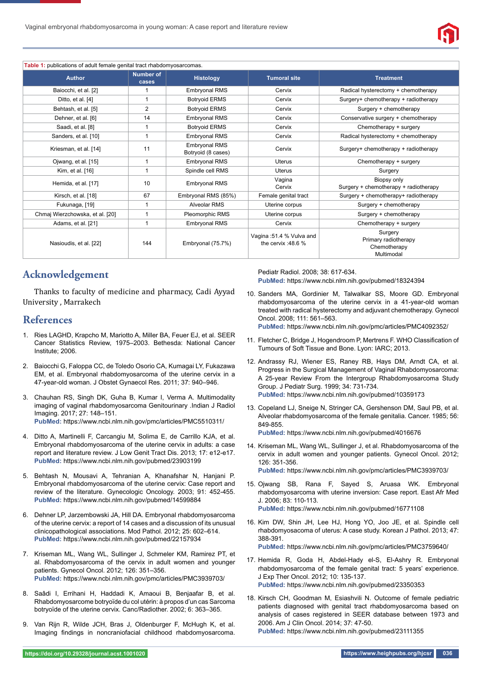

#### **Table 1:** publications of adult female genital tract rhabdomyosarcomas.

| <b>Author</b>                   | <b>Number of</b><br>cases | <b>Histology</b>                           | <b>Tumoral site</b>                              | <b>Treatment</b>                                              |
|---------------------------------|---------------------------|--------------------------------------------|--------------------------------------------------|---------------------------------------------------------------|
| Baiocchi, et al. [2]            |                           | <b>Embryonal RMS</b>                       | Cervix                                           | Radical hysterectomy + chemotherapy                           |
| Ditto, et al. [4]               |                           | <b>Botryoid ERMS</b>                       | Cervix                                           | Surgery+ chemotherapy + radiotherapy                          |
| Behtash, et al. [5]             | 2                         | <b>Botryoid ERMS</b>                       | Cervix                                           | Surgery + chemotherapy                                        |
| Dehner, et al. [6]              | 14                        | <b>Embryonal RMS</b>                       | Cervix                                           | Conservative surgery + chemotherapy                           |
| Saadi, et al. [8]               |                           | <b>Botryoid ERMS</b>                       | Cervix                                           | Chemotherapy + surgery                                        |
| Sanders, et al. [10]            |                           | <b>Embryonal RMS</b>                       | Cervix                                           | Radical hysterectomy + chemotherapy                           |
| Kriesman, et al. [14]           | 11                        | <b>Embryonal RMS</b><br>Botryoid (8 cases) | Cervix                                           | Surgery+ chemotherapy + radiotherapy                          |
| Ojwang, et al. [15]             | 1                         | <b>Embryonal RMS</b>                       | <b>Uterus</b>                                    | Chemotherapy + surgery                                        |
| Kim, et al. [16]                |                           | Spindle cell RMS                           | <b>Uterus</b>                                    | Surgery                                                       |
| Hemida, et al. [17]             | 10                        | <b>Embryonal RMS</b>                       | Vagina<br>Cervix                                 | Biopsy only<br>Surgery + chemotherapy + radiotherapy          |
| Kirsch, et al. [18]             | 67                        | Embryonal RMS (85%)                        | Female genital tract                             | Surgery + chemotherapy+ radiotherapy                          |
| Fukunaga, [19]                  | 1                         | Alveolar RMS                               | Uterine corpus                                   | Surgery + chemotherapy                                        |
| Chmaj Wierzchowska, et al. [20] |                           | Pleomorphic RMS                            | Uterine corpus                                   | Surgery + chemotherapy                                        |
| Adams, et al. [21]              |                           | <b>Embryonal RMS</b>                       | Cervix                                           | Chemotherapy + surgery                                        |
| Nasioudis, et al. [22]          | 144                       | Embryonal (75.7%)                          | Vagina: 51.4 % Vulva and<br>the cervix :48.6 $%$ | Surgery<br>Primary radiotherapy<br>Chemotherapy<br>Multimodal |

# **Acknowledgement**

Thanks to faculty of medicine and pharmacy, Cadi Ayyad University , Marrakech

#### **References**

- 1. Ries LAGHD, Krapcho M, Mariotto A, Miller BA, Feuer EJ, et al. SEER Cancer Statistics Review, 1975–2003. Bethesda: National Cancer Institute; 2006.
- 2. Baiocchi G, Faloppa CC, de Toledo Osorio CA, Kumagai LY, Fukazawa EM, et al. Embryonal rhabdomyosarcoma of the uterine cervix in a 47-year-old woman. J Obstet Gynaecol Res. 2011; 37: 940–946.
- 3. Chauhan RS, Singh DK, Guha B, Kumar I, Verma A. Multimodality imaging of vaginal rhabdomyosarcoma Genitourinary .Indian J Radiol Imaging. 2017; 27: 148–151. **PubMed:** https://www.ncbi.nlm.nih.gov/pmc/articles/PMC5510311/
- 4. Ditto A, Martinelli F, Carcangiu M, Solima E, de Carrillo KJA, et al. Embryonal rhabdomyosarcoma of the uterine cervix in adults: a case report and literature review. J Low Genit Tract Dis. 2013; 17: e12-e17. **PubMed:** https://www.ncbi.nlm.nih.gov/pubmed/23903199
- 5. Behtash N, Mousavi A, Tehranian A, Khanafshar N, Hanjani P. Embryonal rhabdomyosarcoma of the uterine cervix: Case report and review of the literature. Gynecologic Oncology. 2003; 91: 452-455. **PubMed:** https://www.ncbi.nlm.nih.gov/pubmed/14599884
- 6. Dehner LP, Jarzembowski JA, Hill DA. Embryonal rhabdomyosarcoma of the uterine cervix: a report of 14 cases and a discussion of its unusual clinicopathological associations. Mod Pathol. 2012; 25: 602–614. **PubMed:** https://www.ncbi.nlm.nih.gov/pubmed/22157934
- 7. Kriseman ML, Wang WL, Sullinger J, Schmeler KM, Ramirez PT, et al. Rhabdomyosarcoma of the cervix in adult women and younger patients. Gynecol Oncol. 2012; 126: 351–356. **PubMed:** https://www.ncbi.nlm.nih.gov/pmc/articles/PMC3939703/
- 8. Saâdi I, Errihani H, Haddadi K, Amaoui B, Benjaafar B, et al. Rhabdomyosarcome botryoïde du col utérin: à propos d'un cas Sarcoma botryoïde of the uterine cervix. Canc/Radiother. 2002; 6: 363–365.
- 9. Van Rijn R, Wilde JCH, Bras J, Oldenburger F, McHugh K, et al. Imaging findings in noncraniofacial childhood rhabdomyosarcoma.

Pediatr Radiol. 2008; 38: 617-634. **PubMed:** https://www.ncbi.nlm.nih.gov/pubmed/18324394

10. Sanders MA, Gordinier M, Talwalkar SS, Moore GD. Embryonal rhabdomyosarcoma of the uterine cervix in a 41-year-old woman treated with radical hysterectomy and adjuvant chemotherapy. Gynecol Oncol. 2008; 111: 561–563.

**PubMed:** https://www.ncbi.nlm.nih.gov/pmc/articles/PMC4092352/

- 11. Fletcher C, Bridge J, Hogendroom P, Mertrens F. WHO Classification of Tumours of Soft Tissue and Bone. Lyon: IARC; 2013.
- 12. Andrassy RJ, Wiener ES, Raney RB, Hays DM, Arndt CA, et al. Progress in the Surgical Management of Vaginal Rhabdomyosarcoma: A 25-year Review From the Intergroup Rhabdomyosarcoma Study Group. J Pediatr Surg. 1999; 34: 731-734. **PubMed:** https://www.ncbi.nlm.nih.gov/pubmed/10359173
- 13. Copeland LJ, Sneige N, Stringer CA, Gershenson DM, Saul PB, et al. Alveolar rhabdomyosarcoma of the female genitalia. Cancer. 1985; 56: 849-855. **PubMed:** https://www.ncbi.nlm.nih.gov/pubmed/4016676
- 14. Kriseman ML, Wang WL, Sullinger J, et al. Rhabdomyosarcoma of the cervix in adult women and younger patients. Gynecol Oncol. 2012; 126: 351-356.

**PubMed:** https://www.ncbi.nlm.nih.gov/pmc/articles/PMC3939703/

- 15. Ojwang SB, Rana F, Sayed S, Aruasa WK. Embryonal rhabdomyosarcoma with uterine inversion: Case report. East Afr Med J. 2006; 83: 110-113. **PubMed:** https://www.ncbi.nlm.nih.gov/pubmed/16771108
- 16. Kim DW, Shin JH, Lee HJ, Hong YO, Joo JE, et al. Spindle cell rhabdomyosacoma of uterus: A case study. Korean J Pathol. 2013; 47: 388-391.

**PubMed:** https://www.ncbi.nlm.nih.gov/pmc/articles/PMC3759640/

- 17. Hemida R, Goda H, Abdel-Hady el-S, El-Ashry R. Embryonal rhabdomyosarcoma of the female genital tract: 5 years' experience. J Exp Ther Oncol. 2012; 10: 135-137. **PubMed:** https://www.ncbi.nlm.nih.gov/pubmed/23350353
- 18. Kirsch CH, Goodman M, Esiashvili N. Outcome of female pediatric patients diagnosed with genital tract rhabdomyosarcoma based on analysis of cases registered in SEER database between 1973 and 2006. Am J Clin Oncol. 2014; 37: 47-50. **PubMed:** https://www.ncbi.nlm.nih.gov/pubmed/23111355